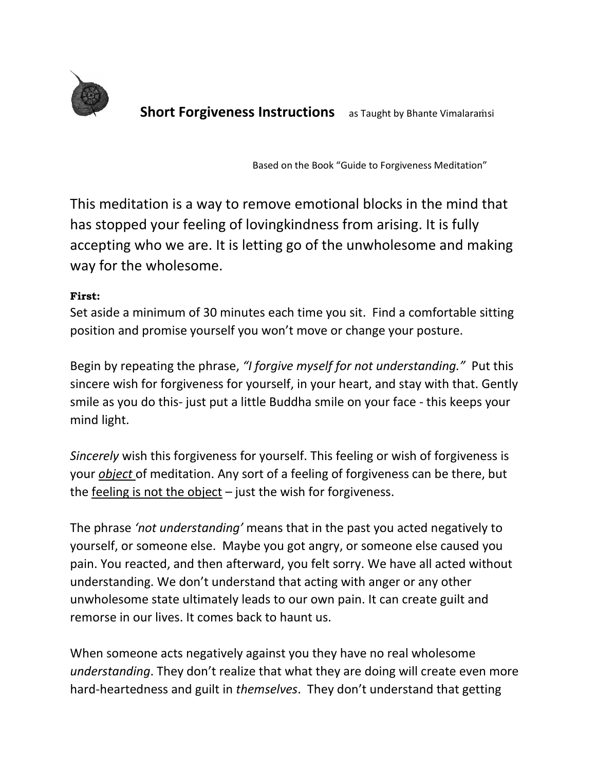

**Short Forgiveness Instructions** as Taught by Bhante Vimalaramsi

Based on the Book "Guide to Forgiveness Meditation"

This meditation is a way to remove emotional blocks in the mind that has stopped your feeling of lovingkindness from arising. It is fully accepting who we are. It is letting go of the unwholesome and making way for the wholesome.

#### **First:**

Set aside a minimum of 30 minutes each time you sit. Find a comfortable sitting position and promise yourself you won't move or change your posture.

Begin by repeating the phrase, *"I forgive myself for not understanding."* Put this sincere wish for forgiveness for yourself, in your heart, and stay with that. Gently smile as you do this- just put a little Buddha smile on your face - this keeps your mind light.

*Sincerely* wish this forgiveness for yourself. This feeling or wish of forgiveness is your *object* of meditation. Any sort of a feeling of forgiveness can be there, but the feeling is not the object  $-$  just the wish for forgiveness.

The phrase *'not understanding'* means that in the past you acted negatively to yourself, or someone else. Maybe you got angry, or someone else caused you pain. You reacted, and then afterward, you felt sorry. We have all acted without understanding. We don't understand that acting with anger or any other unwholesome state ultimately leads to our own pain. It can create guilt and remorse in our lives. It comes back to haunt us.

When someone acts negatively against you they have no real wholesome *understanding*. They don't realize that what they are doing will create even more hard-heartedness and guilt in *themselves*. They don't understand that getting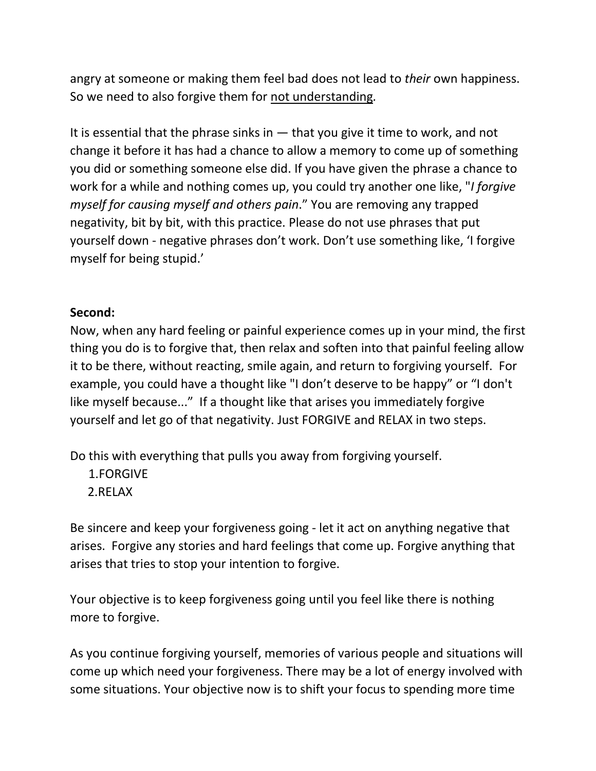angry at someone or making them feel bad does not lead to *their* own happiness. So we need to also forgive them for not understanding*.*

It is essential that the phrase sinks in  $-$  that you give it time to work, and not change it before it has had a chance to allow a memory to come up of something you did or something someone else did. If you have given the phrase a chance to work for a while and nothing comes up, you could try another one like, "*I forgive myself for causing myself and others pain*." You are removing any trapped negativity, bit by bit, with this practice. Please do not use phrases that put yourself down - negative phrases don't work. Don't use something like, 'I forgive myself for being stupid.'

# **Second:**

Now, when any hard feeling or painful experience comes up in your mind, the first thing you do is to forgive that, then relax and soften into that painful feeling allow it to be there, without reacting, smile again, and return to forgiving yourself. For example, you could have a thought like "I don't deserve to be happy" or "I don't like myself because..." If a thought like that arises you immediately forgive yourself and let go of that negativity. Just FORGIVE and RELAX in two steps.

Do this with everything that pulls you away from forgiving yourself.

1.FORGIVE 2.RELAX

Be sincere and keep your forgiveness going - let it act on anything negative that arises. Forgive any stories and hard feelings that come up. Forgive anything that arises that tries to stop your intention to forgive.

Your objective is to keep forgiveness going until you feel like there is nothing more to forgive.

As you continue forgiving yourself, memories of various people and situations will come up which need your forgiveness. There may be a lot of energy involved with some situations. Your objective now is to shift your focus to spending more time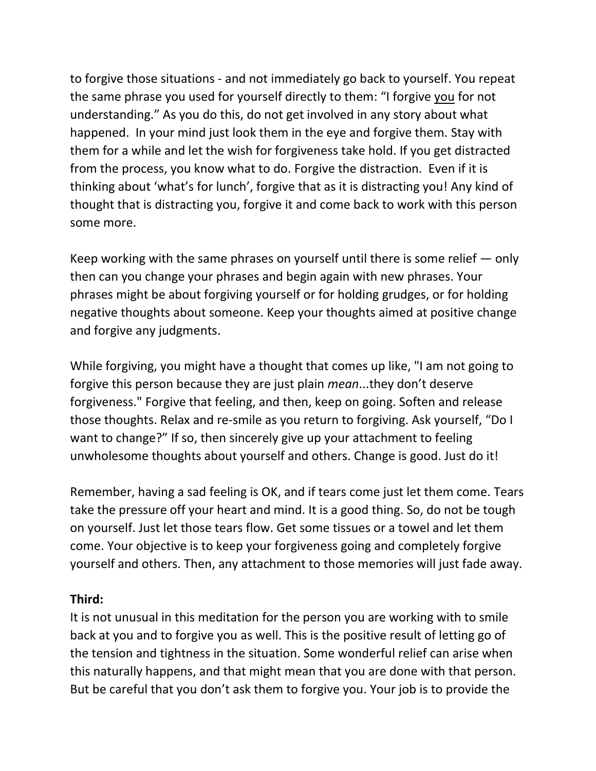to forgive those situations - and not immediately go back to yourself. You repeat the same phrase you used for yourself directly to them: "I forgive you for not understanding." As you do this, do not get involved in any story about what happened. In your mind just look them in the eye and forgive them. Stay with them for a while and let the wish for forgiveness take hold. If you get distracted from the process, you know what to do. Forgive the distraction. Even if it is thinking about 'what's for lunch', forgive that as it is distracting you! Any kind of thought that is distracting you, forgive it and come back to work with this person some more.

Keep working with the same phrases on yourself until there is some relief — only then can you change your phrases and begin again with new phrases. Your phrases might be about forgiving yourself or for holding grudges, or for holding negative thoughts about someone. Keep your thoughts aimed at positive change and forgive any judgments.

While forgiving, you might have a thought that comes up like, "I am not going to forgive this person because they are just plain *mean*...they don't deserve forgiveness." Forgive that feeling, and then, keep on going. Soften and release those thoughts. Relax and re-smile as you return to forgiving. Ask yourself, "Do I want to change?" If so, then sincerely give up your attachment to feeling unwholesome thoughts about yourself and others. Change is good. Just do it!

Remember, having a sad feeling is OK, and if tears come just let them come. Tears take the pressure off your heart and mind. It is a good thing. So, do not be tough on yourself. Just let those tears flow. Get some tissues or a towel and let them come. Your objective is to keep your forgiveness going and completely forgive yourself and others. Then, any attachment to those memories will just fade away.

### **Third:**

It is not unusual in this meditation for the person you are working with to smile back at you and to forgive you as well. This is the positive result of letting go of the tension and tightness in the situation. Some wonderful relief can arise when this naturally happens, and that might mean that you are done with that person. But be careful that you don't ask them to forgive you. Your job is to provide the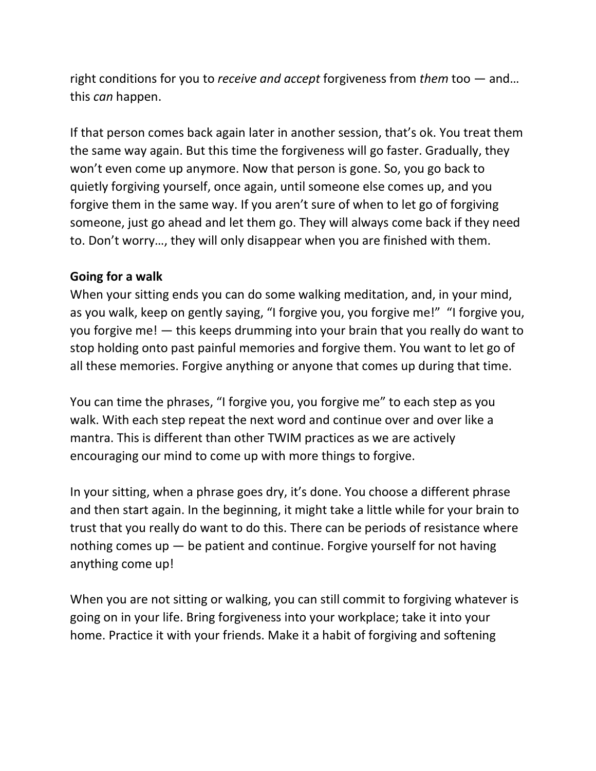right conditions for you to *receive and accept* forgiveness from *them* too — and… this *can* happen.

If that person comes back again later in another session, that's ok. You treat them the same way again. But this time the forgiveness will go faster. Gradually, they won't even come up anymore. Now that person is gone. So, you go back to quietly forgiving yourself, once again, until someone else comes up, and you forgive them in the same way. If you aren't sure of when to let go of forgiving someone, just go ahead and let them go. They will always come back if they need to. Don't worry…, they will only disappear when you are finished with them.

# **Going for a walk**

When your sitting ends you can do some walking meditation, and, in your mind, as you walk, keep on gently saying, "I forgive you, you forgive me!" "I forgive you, you forgive me! — this keeps drumming into your brain that you really do want to stop holding onto past painful memories and forgive them. You want to let go of all these memories. Forgive anything or anyone that comes up during that time.

You can time the phrases, "I forgive you, you forgive me" to each step as you walk. With each step repeat the next word and continue over and over like a mantra. This is different than other TWIM practices as we are actively encouraging our mind to come up with more things to forgive.

In your sitting, when a phrase goes dry, it's done. You choose a different phrase and then start again. In the beginning, it might take a little while for your brain to trust that you really do want to do this. There can be periods of resistance where nothing comes up  $-$  be patient and continue. Forgive yourself for not having anything come up!

When you are not sitting or walking, you can still commit to forgiving whatever is going on in your life. Bring forgiveness into your workplace; take it into your home. Practice it with your friends. Make it a habit of forgiving and softening